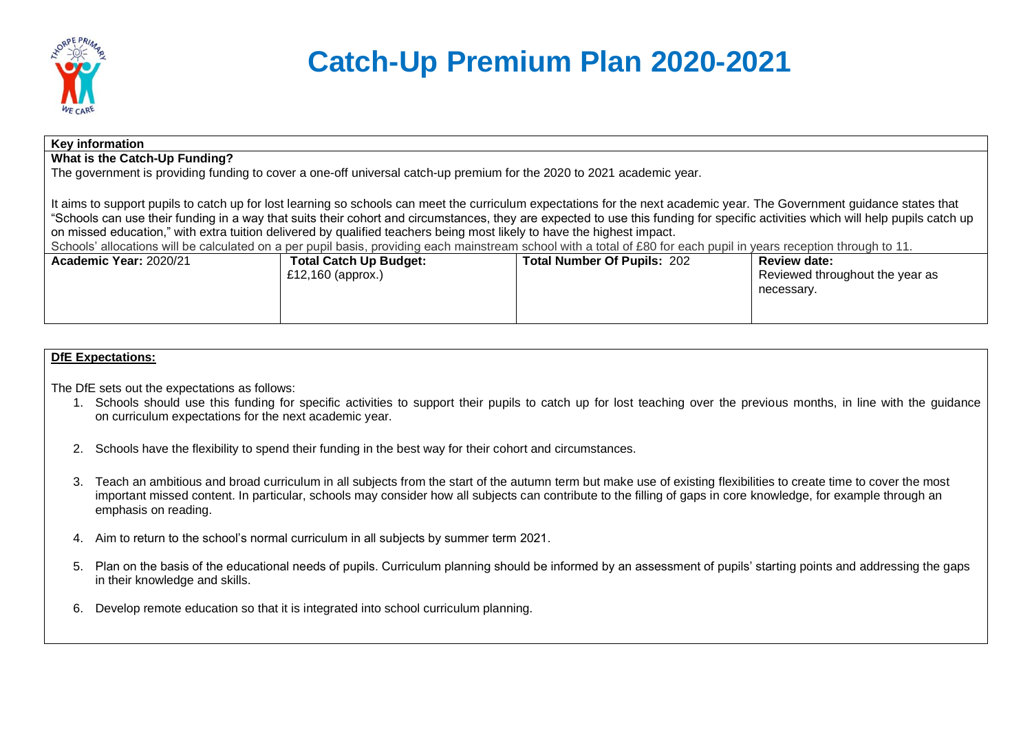

# **Catch-Up Premium Plan 2020-2021**

| <b>Key information</b>                                                                                                                                                           |                               |                                    |                                 |  |  |  |  |
|----------------------------------------------------------------------------------------------------------------------------------------------------------------------------------|-------------------------------|------------------------------------|---------------------------------|--|--|--|--|
| What is the Catch-Up Funding?                                                                                                                                                    |                               |                                    |                                 |  |  |  |  |
| The government is providing funding to cover a one-off universal catch-up premium for the 2020 to 2021 academic year.                                                            |                               |                                    |                                 |  |  |  |  |
|                                                                                                                                                                                  |                               |                                    |                                 |  |  |  |  |
| It aims to support pupils to catch up for lost learning so schools can meet the curriculum expectations for the next academic year. The Government guidance states that          |                               |                                    |                                 |  |  |  |  |
| "Schools can use their funding in a way that suits their cohort and circumstances, they are expected to use this funding for specific activities which will help pupils catch up |                               |                                    |                                 |  |  |  |  |
| on missed education," with extra tuition delivered by qualified teachers being most likely to have the highest impact.                                                           |                               |                                    |                                 |  |  |  |  |
| Schools' allocations will be calculated on a per pupil basis, providing each mainstream school with a total of £80 for each pupil in years reception through to 11.              |                               |                                    |                                 |  |  |  |  |
| Academic Year: 2020/21                                                                                                                                                           | <b>Total Catch Up Budget:</b> | <b>Total Number Of Pupils: 202</b> | <b>Review date:</b>             |  |  |  |  |
|                                                                                                                                                                                  | £12,160 (approx.)             |                                    | Reviewed throughout the year as |  |  |  |  |
|                                                                                                                                                                                  |                               |                                    | necessary.                      |  |  |  |  |
|                                                                                                                                                                                  |                               |                                    |                                 |  |  |  |  |

#### **DfE Expectations:**

The DfE sets out the expectations as follows:

- 1. Schools should use this funding for specific activities to support their pupils to catch up for lost teaching over the previous months, in line with the guidance on curriculum expectations for the next academic year.
- 2. Schools have the flexibility to spend their funding in the best way for their cohort and circumstances.
- 3. Teach an ambitious and broad curriculum in all subjects from the start of the autumn term but make use of existing flexibilities to create time to cover the most important missed content. In particular, schools may consider how all subjects can contribute to the filling of gaps in core knowledge, for example through an emphasis on reading.
- 4. Aim to return to the school's normal curriculum in all subjects by summer term 2021.
- 5. Plan on the basis of the educational needs of pupils. Curriculum planning should be informed by an assessment of pupils' starting points and addressing the gaps in their knowledge and skills.
- 6. Develop remote education so that it is integrated into school curriculum planning.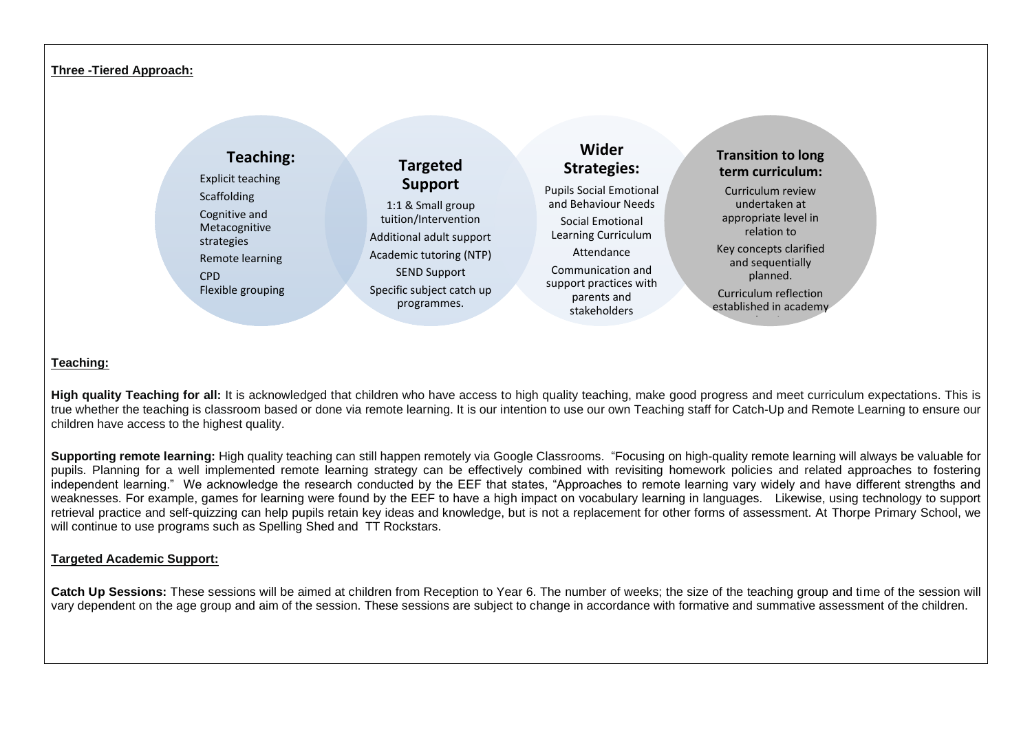#### **Three -Tiered Approach:**

# **Teaching:**

Explicit teaching **Scaffolding** Cognitive and Metacognitive strategies Remote learning CPD Flexible grouping

# **Targeted Support**

1:1 & Small group tuition/Intervention Additional adult support Academic tutoring (NTP) SEND Support Specific subject catch up programmes.

# **Wider Strategies:**

Pupils Social Emotional and Behaviour Needs Social Emotional Learning Curriculum Attendance

Communication and support practices with parents and stakeholders

# **Transition to long term curriculum:**

Curriculum review undertaken at appropriate level in relation to

Key concepts clarified and sequentially planned.

Curriculum reflection established in academy

planning

## **Teaching:**

High quality Teaching for all: It is acknowledged that children who have access to high quality teaching, make good progress and meet curriculum expectations. This is true whether the teaching is classroom based or done via remote learning. It is our intention to use our own Teaching staff for Catch-Up and Remote Learning to ensure our children have access to the highest quality.

**Supporting remote learning:** High quality teaching can still happen remotely via Google Classrooms. "Focusing on high-quality remote learning will always be valuable for pupils. Planning for a well implemented remote learning strategy can be effectively combined with revisiting homework policies and related approaches to fostering independent learning." We acknowledge the research conducted by the EEF that states, "Approaches to remote learning vary widely and have different strengths and weaknesses. For example, games for learning were found by the EEF to have a high impact on vocabulary learning in languages. Likewise, using technology to support retrieval practice and self-quizzing can help pupils retain key ideas and knowledge, but is not a replacement for other forms of assessment. At Thorpe Primary School, we will continue to use programs such as Spelling Shed and TT Rockstars.

## **Targeted Academic Support:**

**Catch Up Sessions:** These sessions will be aimed at children from Reception to Year 6. The number of weeks; the size of the teaching group and time of the session will vary dependent on the age group and aim of the session. These sessions are subject to change in accordance with formative and summative assessment of the children.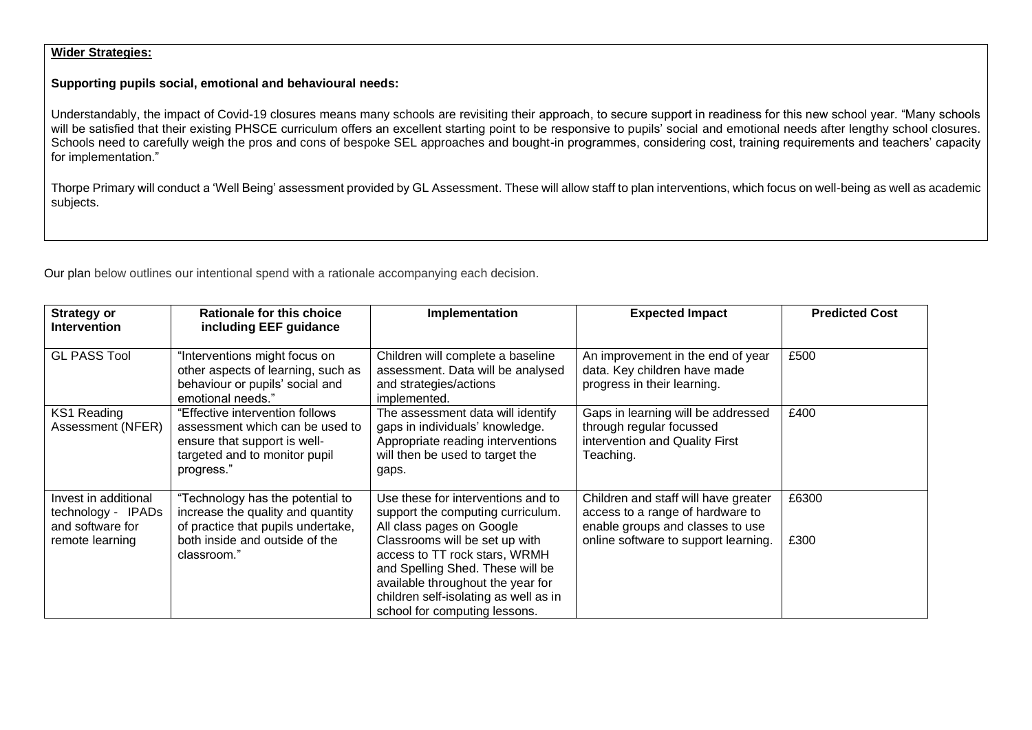## **Wider Strategies:**

### **Supporting pupils social, emotional and behavioural needs:**

Understandably, the impact of Covid-19 closures means many schools are revisiting their approach, to secure support in readiness for this new school year. "Many schools will be satisfied that their existing PHSCE curriculum offers an excellent starting point to be responsive to pupils' social and emotional needs after lengthy school closures. Schools need to carefully weigh the pros and cons of bespoke SEL approaches and bought-in programmes, considering cost, training requirements and teachers' capacity for implementation."

Thorpe Primary will conduct a 'Well Being' assessment provided by GL Assessment. These will allow staff to plan interventions, which focus on well-being as well as academic subjects.

Our plan below outlines our intentional spend with a rationale accompanying each decision.

| <b>Strategy or</b><br><b>Intervention</b>                                         | Rationale for this choice<br>including EEF guidance                                                                                                          | Implementation                                                                                                                                                                                                                                                                                                             | <b>Expected Impact</b>                                                                                                                               | <b>Predicted Cost</b> |
|-----------------------------------------------------------------------------------|--------------------------------------------------------------------------------------------------------------------------------------------------------------|----------------------------------------------------------------------------------------------------------------------------------------------------------------------------------------------------------------------------------------------------------------------------------------------------------------------------|------------------------------------------------------------------------------------------------------------------------------------------------------|-----------------------|
| <b>GL PASS Tool</b>                                                               | "Interventions might focus on<br>other aspects of learning, such as<br>behaviour or pupils' social and<br>emotional needs."                                  | Children will complete a baseline<br>assessment. Data will be analysed<br>and strategies/actions<br>implemented.                                                                                                                                                                                                           | An improvement in the end of year<br>data. Key children have made<br>progress in their learning.                                                     | £500                  |
| KS1 Reading<br>Assessment (NFER)                                                  | "Effective intervention follows<br>assessment which can be used to<br>ensure that support is well-<br>targeted and to monitor pupil<br>progress."            | The assessment data will identify<br>gaps in individuals' knowledge.<br>Appropriate reading interventions<br>will then be used to target the<br>gaps.                                                                                                                                                                      | Gaps in learning will be addressed<br>through regular focussed<br>intervention and Quality First<br>Teaching.                                        | £400                  |
| Invest in additional<br>technology - IPADs<br>and software for<br>remote learning | "Technology has the potential to<br>increase the quality and quantity<br>of practice that pupils undertake,<br>both inside and outside of the<br>classroom." | Use these for interventions and to<br>support the computing curriculum.<br>All class pages on Google<br>Classrooms will be set up with<br>access to TT rock stars, WRMH<br>and Spelling Shed. These will be<br>available throughout the year for<br>children self-isolating as well as in<br>school for computing lessons. | Children and staff will have greater<br>access to a range of hardware to<br>enable groups and classes to use<br>online software to support learning. | £6300<br>£300         |